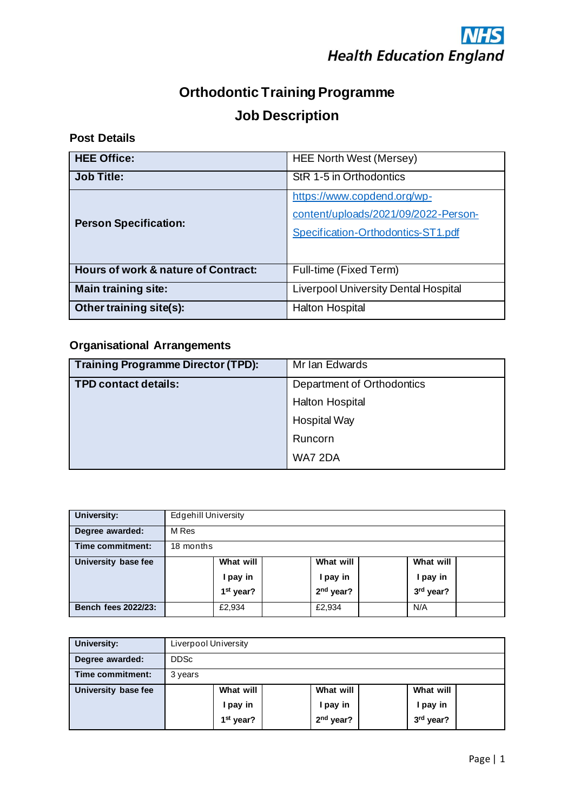

# **Orthodontic Training Programme Job Description**

## **Post Details**

| <b>HEE Office:</b>                  | <b>HEE North West (Mersey)</b>                                                                            |  |  |
|-------------------------------------|-----------------------------------------------------------------------------------------------------------|--|--|
| <b>Job Title:</b>                   | StR 1-5 in Orthodontics                                                                                   |  |  |
| <b>Person Specification:</b>        | https://www.copdend.org/wp-<br>content/uploads/2021/09/2022-Person-<br>Specification-Orthodontics-ST1.pdf |  |  |
| Hours of work & nature of Contract: | Full-time (Fixed Term)                                                                                    |  |  |
| <b>Main training site:</b>          | <b>Liverpool University Dental Hospital</b>                                                               |  |  |
| Other training site(s):             | Halton Hospital                                                                                           |  |  |

## **Organisational Arrangements**

| <b>Training Programme Director (TPD):</b> | Mr Ian Edwards             |
|-------------------------------------------|----------------------------|
| <b>TPD contact details:</b>               | Department of Orthodontics |
|                                           | <b>Halton Hospital</b>     |
|                                           | <b>Hospital Way</b>        |
|                                           | Runcorn                    |
|                                           | WA7 2DA                    |

| <b>University:</b>         | <b>Edgehill University</b>                                              |                                     |  |        |  |     |  |
|----------------------------|-------------------------------------------------------------------------|-------------------------------------|--|--------|--|-----|--|
| Degree awarded:            | M Res                                                                   |                                     |  |        |  |     |  |
| Time commitment:           |                                                                         | 18 months                           |  |        |  |     |  |
| University base fee        |                                                                         | What will<br>What will<br>What will |  |        |  |     |  |
|                            | I pay in<br>I pay in<br>I pay in                                        |                                     |  |        |  |     |  |
|                            | 2 <sup>nd</sup> year?<br>3 <sup>rd</sup> year?<br>1 <sup>st</sup> year? |                                     |  |        |  |     |  |
| <b>Bench fees 2022/23:</b> |                                                                         | £2,934                              |  | £2,934 |  | N/A |  |

| University:         |             | Liverpool University                           |  |                                      |  |                                    |  |
|---------------------|-------------|------------------------------------------------|--|--------------------------------------|--|------------------------------------|--|
| Degree awarded:     | <b>DDSc</b> |                                                |  |                                      |  |                                    |  |
| Time commitment:    | 3 years     |                                                |  |                                      |  |                                    |  |
| University base fee |             | What will<br>I pay in<br>1 <sup>st</sup> year? |  | What will<br>I pay in<br>$2nd$ year? |  | What will<br>I pay in<br>3rd year? |  |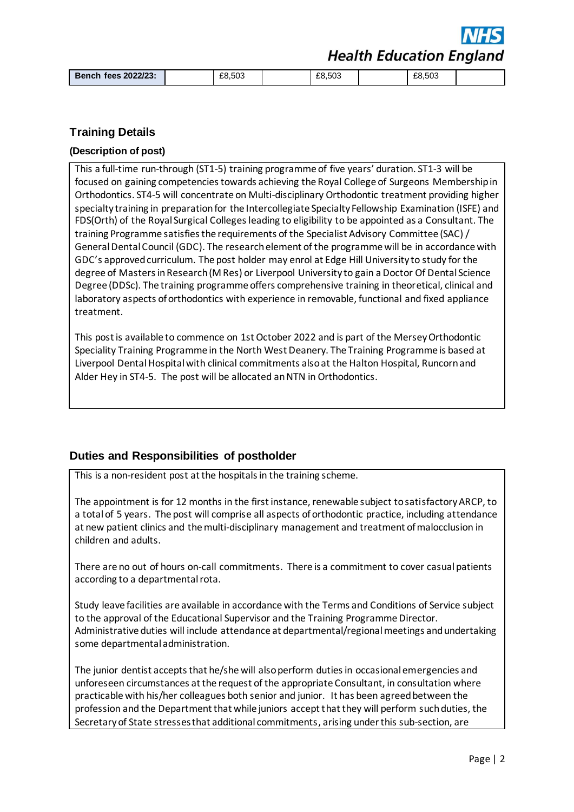**Health Education England** 

| Bench fees 2022/23: | £8,503 | £8,503 | £8.503 |  |
|---------------------|--------|--------|--------|--|

#### **Training Details**

#### **(Description of post)**

This a full-time run-through (ST1-5) training programme of five years' duration. ST1-3 will be focused on gaining competencies towards achieving the Royal College of Surgeons Membership in Orthodontics. ST4-5 will concentrate on Multi-disciplinary Orthodontic treatment providing higher specialty training in preparation for the Intercollegiate Specialty Fellowship Examination (ISFE) and FDS(Orth) of the Royal Surgical Colleges leading to eligibility to be appointed as a Consultant. The training Programme satisfies the requirements of the Specialist Advisory Committee (SAC) / General Dental Council (GDC). The research element of the programme will be in accordance with GDC's approved curriculum. The post holder may enrol at Edge Hill University to study for the degree of Masters in Research (M Res) or Liverpool University to gain a Doctor Of Dental Science Degree (DDSc). The training programme offers comprehensive training in theoretical, clinical and laboratory aspects of orthodontics with experience in removable, functional and fixed appliance treatment.

This post is available to commence on 1st October 2022 and is part of the Mersey Orthodontic Speciality Training Programme in the North West Deanery. The Training Programme is based at Liverpool Dental Hospital with clinical commitments also at the Halton Hospital, Runcorn and Alder Hey in ST4-5. The post will be allocated an NTN in Orthodontics.

#### **Duties and Responsibilities of postholder**

This is a non-resident post at the hospitals in the training scheme.

The appointment is for 12 months in the first instance, renewable subject to satisfactory ARCP, to a total of 5 years. The post will comprise all aspects of orthodontic practice, including attendance at new patient clinics and the multi-disciplinary management and treatment of malocclusion in children and adults.

There are no out of hours on-call commitments. There is a commitment to cover casual patients according to a departmental rota.

Study leave facilities are available in accordance with the Terms and Conditions of Service subject to the approval of the Educational Supervisor and the Training Programme Director. Administrative duties will include attendance at departmental/regional meetings and undertaking some departmental administration.

The junior dentist accepts that he/she will also perform duties in occasional emergencies and unforeseen circumstances at the request of the appropriate Consultant, in consultation where practicable with his/her colleagues both senior and junior. It has been agreed between the profession and the Department that while juniors accept that they will perform such duties, the Secretary of State stresses that additional commitments, arising under this sub-section, are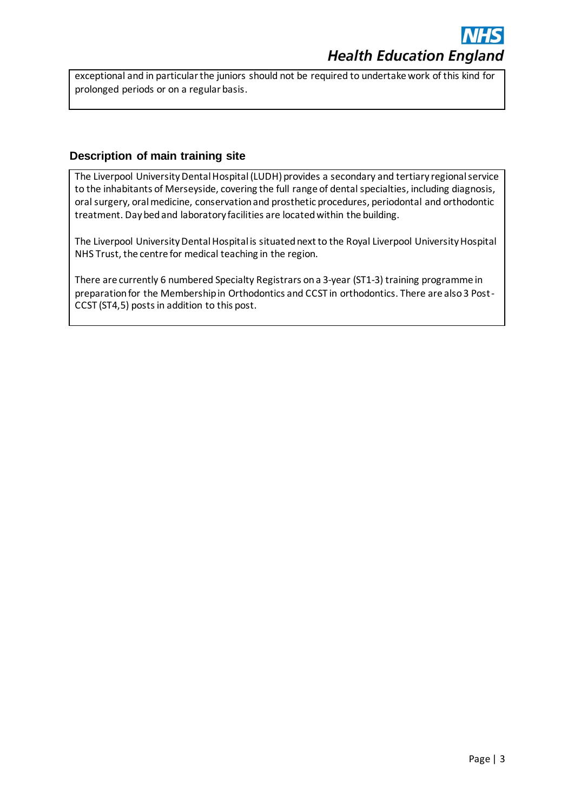exceptional and in particular the juniors should not be required to undertake work of this kind for prolonged periods or on a regular basis.

### **Description of main training site**

The Liverpool University Dental Hospital(LUDH) provides a secondary and tertiary regional service to the inhabitants of Merseyside, covering the full range of dental specialties, including diagnosis, oral surgery, oral medicine, conservation and prosthetic procedures, periodontal and orthodontic treatment. Day bed and laboratory facilities are located within the building.

The Liverpool University Dental Hospital is situated next to the Royal Liverpool University Hospital NHS Trust, the centre for medical teaching in the region.

There are currently 6 numbered Specialty Registrars on a 3-year (ST1-3) training programme in preparation for the Membership in Orthodontics and CCST in orthodontics. There are also 3 Post-CCST (ST4,5) posts in addition to this post.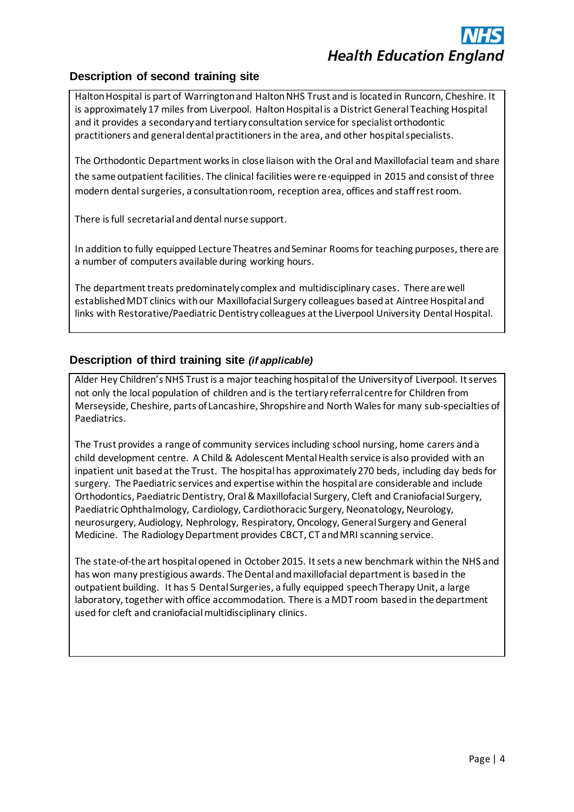## **Description of second training site**

Halton Hospital is part of Warrington and Halton NHS Trust and is located in Runcorn, Cheshire. It is approximately 17 miles from Liverpool. Halton Hospital is a District General Teaching Hospital and it provides a secondary and tertiary consultation service for specialist orthodontic practitioners and general dental practitioners in the area, and other hospital specialists.

The Orthodontic Department works in close liaison with the Oral and Maxillofacial team and share the same outpatient facilities. The clinical facilities were re-equipped in 2015 and consist of three modern dental surgeries, a consultation room, reception area, offices and staff rest room.

There is full secretarial and dental nurse support.

In addition to fully equipped Lecture Theatres and Seminar Rooms for teaching purposes, there are a number of computers available during working hours.

The department treats predominately complex and multidisciplinary cases. There are well established MDT clinics with our Maxillofacial Surgery colleagues based at Aintree Hospital and links with Restorative/Paediatric Dentistry colleagues at the Liverpool University Dental Hospital.

## **Description of third training site** *(if applicable)*

Alder Hey Children's NHS Trust is a major teaching hospital of the University of Liverpool. It serves not only the local population of children and is the tertiary referral centre for Children from Merseyside, Cheshire, parts of Lancashire, Shropshire and North Wales for many sub-specialties of Paediatrics.

The Trust provides a range of community services including school nursing, home carers and a child development centre. A Child & Adolescent Mental Health service is also provided with an inpatient unit based at the Trust. The hospital has approximately 270 beds, including day beds for surgery. The Paediatric services and expertise within the hospital are considerable and include Orthodontics, Paediatric Dentistry, Oral & Maxillofacial Surgery, Cleft and Craniofacial Surgery, Paediatric Ophthalmology, Cardiology, Cardiothoracic Surgery, Neonatology, Neurology, neurosurgery, Audiology, Nephrology, Respiratory, Oncology, General Surgery and General Medicine. The Radiology Department provides CBCT, CT and MRI scanning service.

The state-of-the art hospital opened in October 2015. It sets a new benchmark within the NHS and has won many prestigious awards. The Dental and maxillofacial department is based in the outpatient building. It has 5 Dental Surgeries, a fully equipped speech Therapy Unit, a large laboratory, together with office accommodation. There is a MDT room based in the department used for cleft and craniofacial multidisciplinary clinics.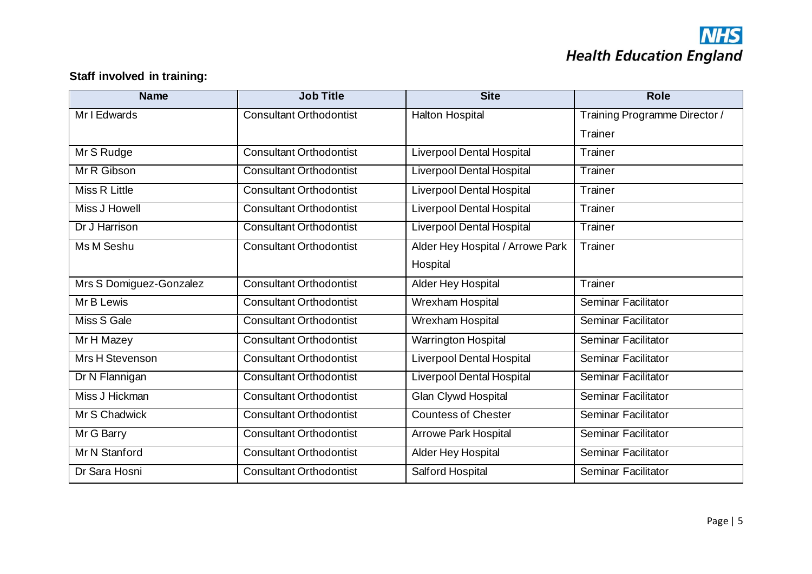# **NHS**<br>Health Education England

## **Staff involved in training:**

| <b>Name</b>             | <b>Job Title</b>               | <b>Site</b>                      | <b>Role</b>                   |
|-------------------------|--------------------------------|----------------------------------|-------------------------------|
| Mr I Edwards            | <b>Consultant Orthodontist</b> | <b>Halton Hospital</b>           | Training Programme Director / |
|                         |                                |                                  | Trainer                       |
| Mr S Rudge              | <b>Consultant Orthodontist</b> | <b>Liverpool Dental Hospital</b> | Trainer                       |
| Mr R Gibson             | <b>Consultant Orthodontist</b> | <b>Liverpool Dental Hospital</b> | Trainer                       |
| Miss R Little           | <b>Consultant Orthodontist</b> | <b>Liverpool Dental Hospital</b> | Trainer                       |
| Miss J Howell           | <b>Consultant Orthodontist</b> | <b>Liverpool Dental Hospital</b> | Trainer                       |
| Dr J Harrison           | <b>Consultant Orthodontist</b> | <b>Liverpool Dental Hospital</b> | Trainer                       |
| Ms M Seshu              | <b>Consultant Orthodontist</b> | Alder Hey Hospital / Arrowe Park | Trainer                       |
|                         |                                | Hospital                         |                               |
| Mrs S Domiguez-Gonzalez | <b>Consultant Orthodontist</b> | Alder Hey Hospital               | Trainer                       |
| Mr B Lewis              | <b>Consultant Orthodontist</b> | Wrexham Hospital                 | Seminar Facilitator           |
| Miss S Gale             | <b>Consultant Orthodontist</b> | Wrexham Hospital                 | Seminar Facilitator           |
| Mr H Mazey              | <b>Consultant Orthodontist</b> | Warrington Hospital              | Seminar Facilitator           |
| Mrs H Stevenson         | <b>Consultant Orthodontist</b> | <b>Liverpool Dental Hospital</b> | Seminar Facilitator           |
| Dr N Flannigan          | <b>Consultant Orthodontist</b> | <b>Liverpool Dental Hospital</b> | Seminar Facilitator           |
| Miss J Hickman          | <b>Consultant Orthodontist</b> | Glan Clywd Hospital              | Seminar Facilitator           |
| Mr S Chadwick           | <b>Consultant Orthodontist</b> | <b>Countess of Chester</b>       | Seminar Facilitator           |
| Mr G Barry              | <b>Consultant Orthodontist</b> | <b>Arrowe Park Hospital</b>      | <b>Seminar Facilitator</b>    |
| Mr N Stanford           | <b>Consultant Orthodontist</b> | Alder Hey Hospital               | Seminar Facilitator           |
| Dr Sara Hosni           | <b>Consultant Orthodontist</b> | Salford Hospital                 | <b>Seminar Facilitator</b>    |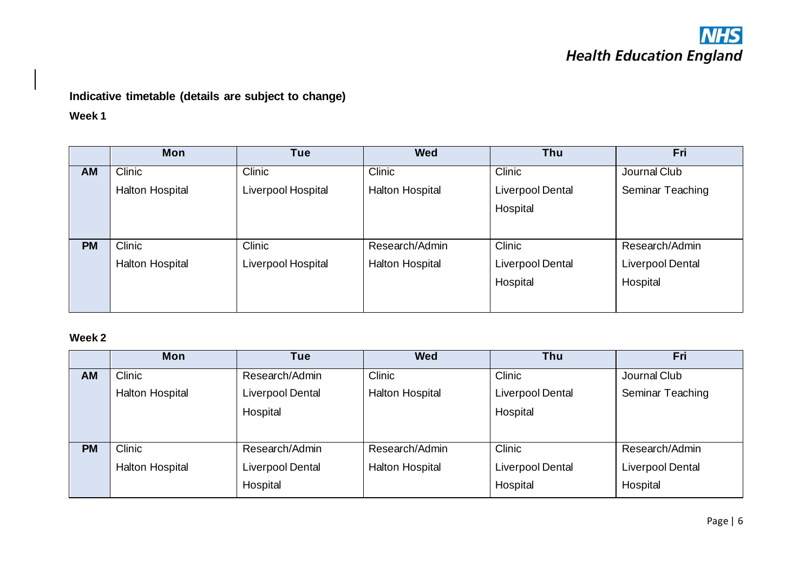## **NHS Health Education England**

## **Indicative timetable (details are subject to change)**

**Week 1**

|           | <b>Mon</b>      | Tue                | <b>Wed</b>             | Thu              | Fri                     |
|-----------|-----------------|--------------------|------------------------|------------------|-------------------------|
| AM        | <b>Clinic</b>   | <b>Clinic</b>      | <b>Clinic</b>          | <b>Clinic</b>    | Journal Club            |
|           | Halton Hospital | Liverpool Hospital | <b>Halton Hospital</b> | Liverpool Dental | Seminar Teaching        |
|           |                 |                    |                        | Hospital         |                         |
|           |                 |                    |                        |                  |                         |
| <b>PM</b> | Clinic          | Clinic             | Research/Admin         | Clinic           | Research/Admin          |
|           | Halton Hospital | Liverpool Hospital | Halton Hospital        | Liverpool Dental | <b>Liverpool Dental</b> |
|           |                 |                    |                        | Hospital         | Hospital                |
|           |                 |                    |                        |                  |                         |

## **Week 2**

|           | <b>Mon</b>             | Tue              | <b>Wed</b>             | Thu                     | Fri              |
|-----------|------------------------|------------------|------------------------|-------------------------|------------------|
| <b>AM</b> | Clinic                 | Research/Admin   | Clinic                 | Clinic                  | Journal Club     |
|           | <b>Halton Hospital</b> | Liverpool Dental | <b>Halton Hospital</b> | <b>Liverpool Dental</b> | Seminar Teaching |
|           |                        | Hospital         |                        | Hospital                |                  |
|           |                        |                  |                        |                         |                  |
| <b>PM</b> | Clinic                 | Research/Admin   | Research/Admin         | Clinic                  | Research/Admin   |
|           | <b>Halton Hospital</b> | Liverpool Dental | <b>Halton Hospital</b> | Liverpool Dental        | Liverpool Dental |
|           |                        | Hospital         |                        | Hospital                | Hospital         |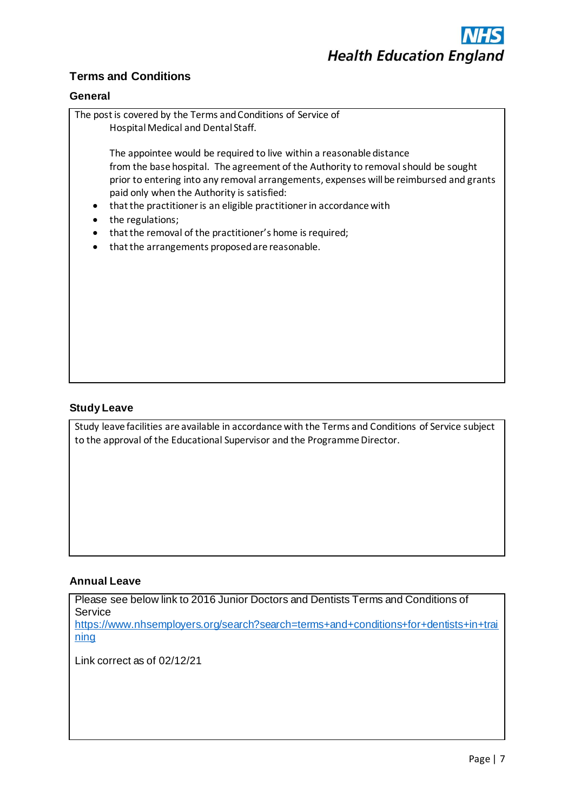

## **Terms and Conditions**

#### **General**



#### **Study Leave**

Study leave facilities are available in accordance with the Terms and Conditions of Service subject to the approval of the Educational Supervisor and the Programme Director.

#### **Annual Leave**

[ning](https://www.nhsemployers.org/search?search=terms+and+conditions+for+dentists+in+training)

Please see below link to 2016 Junior Doctors and Dentists Terms and Conditions of **Service** [https://www.nhsemployers.org/search?search=terms+and+conditions+for+dentists+in+trai](https://www.nhsemployers.org/search?search=terms+and+conditions+for+dentists+in+training)

Link correct as of 02/12/21